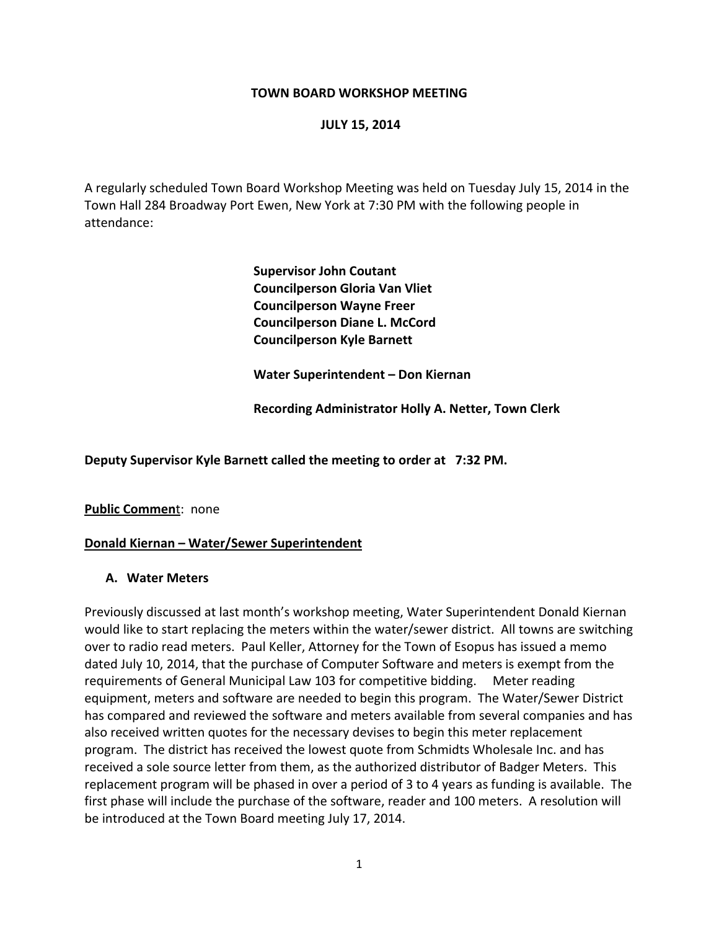#### **TOWN BOARD WORKSHOP MEETING**

#### **JULY 15, 2014**

A regularly scheduled Town Board Workshop Meeting was held on Tuesday July 15, 2014 in the Town Hall 284 Broadway Port Ewen, New York at 7:30 PM with the following people in attendance:

> **Supervisor John Coutant Councilperson Gloria Van Vliet Councilperson Wayne Freer Councilperson Diane L. McCord Councilperson Kyle Barnett**

 **Water Superintendent – Don Kiernan**

 **Recording Administrator Holly A. Netter, Town Clerk**

**Deputy Supervisor Kyle Barnett called the meeting to order at 7:32 PM.**

**Public Commen**t: none

#### **Donald Kiernan – Water/Sewer Superintendent**

#### **A. Water Meters**

Previously discussed at last month's workshop meeting, Water Superintendent Donald Kiernan would like to start replacing the meters within the water/sewer district. All towns are switching over to radio read meters. Paul Keller, Attorney for the Town of Esopus has issued a memo dated July 10, 2014, that the purchase of Computer Software and meters is exempt from the requirements of General Municipal Law 103 for competitive bidding. Meter reading equipment, meters and software are needed to begin this program. The Water/Sewer District has compared and reviewed the software and meters available from several companies and has also received written quotes for the necessary devises to begin this meter replacement program. The district has received the lowest quote from Schmidts Wholesale Inc. and has received a sole source letter from them, as the authorized distributor of Badger Meters. This replacement program will be phased in over a period of 3 to 4 years as funding is available. The first phase will include the purchase of the software, reader and 100 meters. A resolution will be introduced at the Town Board meeting July 17, 2014.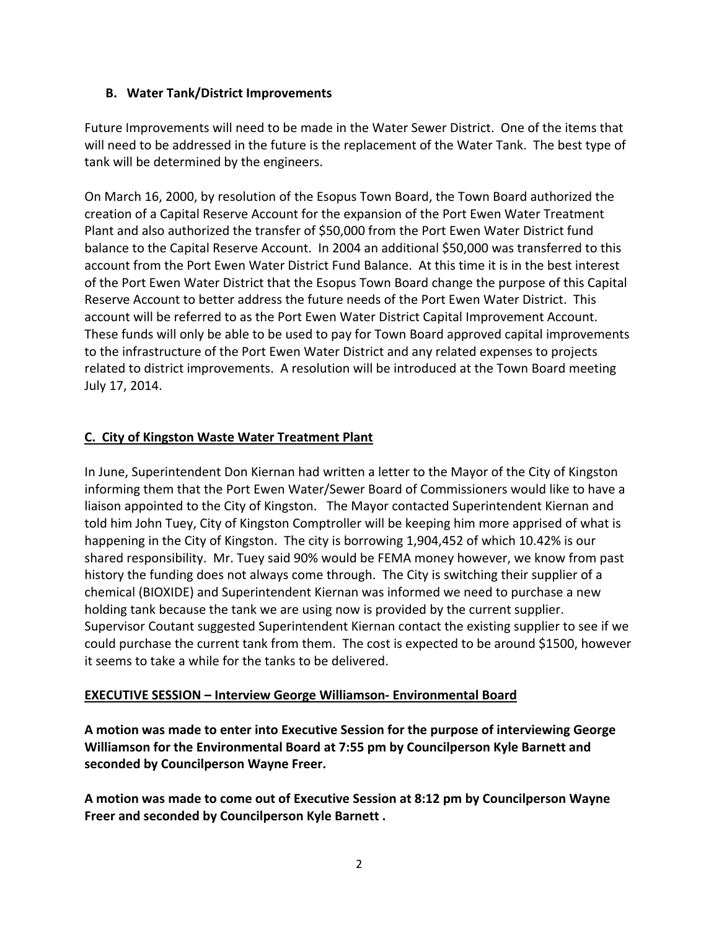# **B. Water Tank/District Improvements**

Future Improvements will need to be made in the Water Sewer District. One of the items that will need to be addressed in the future is the replacement of the Water Tank. The best type of tank will be determined by the engineers.

On March 16, 2000, by resolution of the Esopus Town Board, the Town Board authorized the creation of a Capital Reserve Account for the expansion of the Port Ewen Water Treatment Plant and also authorized the transfer of \$50,000 from the Port Ewen Water District fund balance to the Capital Reserve Account. In 2004 an additional \$50,000 was transferred to this account from the Port Ewen Water District Fund Balance. At this time it is in the best interest of the Port Ewen Water District that the Esopus Town Board change the purpose of this Capital Reserve Account to better address the future needs of the Port Ewen Water District. This account will be referred to as the Port Ewen Water District Capital Improvement Account. These funds will only be able to be used to pay for Town Board approved capital improvements to the infrastructure of the Port Ewen Water District and any related expenses to projects related to district improvements. A resolution will be introduced at the Town Board meeting July 17, 2014.

# **C. City of Kingston Waste Water Treatment Plant**

In June, Superintendent Don Kiernan had written a letter to the Mayor of the City of Kingston informing them that the Port Ewen Water/Sewer Board of Commissioners would like to have a liaison appointed to the City of Kingston. The Mayor contacted Superintendent Kiernan and told him John Tuey, City of Kingston Comptroller will be keeping him more apprised of what is happening in the City of Kingston. The city is borrowing 1,904,452 of which 10.42% is our shared responsibility. Mr. Tuey said 90% would be FEMA money however, we know from past history the funding does not always come through. The City is switching their supplier of a chemical (BIOXIDE) and Superintendent Kiernan was informed we need to purchase a new holding tank because the tank we are using now is provided by the current supplier. Supervisor Coutant suggested Superintendent Kiernan contact the existing supplier to see if we could purchase the current tank from them. The cost is expected to be around \$1500, however it seems to take a while for the tanks to be delivered.

#### **EXECUTIVE SESSION – Interview George Williamson‐ Environmental Board**

**A motion was made to enter into Executive Session for the purpose of interviewing George Williamson for the Environmental Board at 7:55 pm by Councilperson Kyle Barnett and seconded by Councilperson Wayne Freer.** 

**A motion was made to come out of Executive Session at 8:12 pm by Councilperson Wayne Freer and seconded by Councilperson Kyle Barnett .**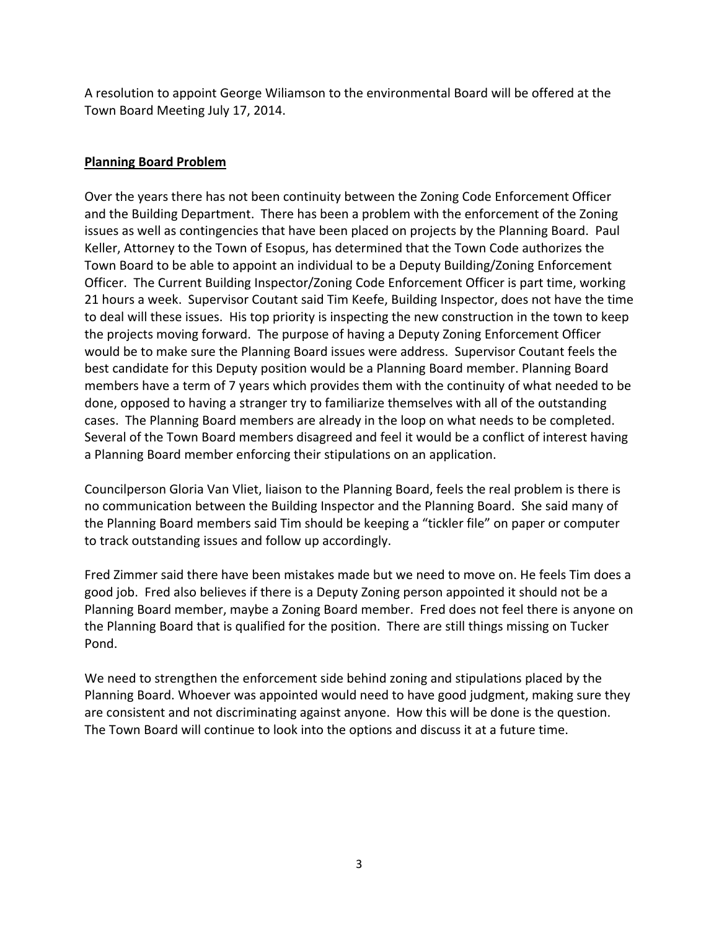A resolution to appoint George Wiliamson to the environmental Board will be offered at the Town Board Meeting July 17, 2014.

# **Planning Board Problem**

Over the years there has not been continuity between the Zoning Code Enforcement Officer and the Building Department. There has been a problem with the enforcement of the Zoning issues as well as contingencies that have been placed on projects by the Planning Board. Paul Keller, Attorney to the Town of Esopus, has determined that the Town Code authorizes the Town Board to be able to appoint an individual to be a Deputy Building/Zoning Enforcement Officer. The Current Building Inspector/Zoning Code Enforcement Officer is part time, working 21 hours a week. Supervisor Coutant said Tim Keefe, Building Inspector, does not have the time to deal will these issues. His top priority is inspecting the new construction in the town to keep the projects moving forward. The purpose of having a Deputy Zoning Enforcement Officer would be to make sure the Planning Board issues were address. Supervisor Coutant feels the best candidate for this Deputy position would be a Planning Board member. Planning Board members have a term of 7 years which provides them with the continuity of what needed to be done, opposed to having a stranger try to familiarize themselves with all of the outstanding cases. The Planning Board members are already in the loop on what needs to be completed. Several of the Town Board members disagreed and feel it would be a conflict of interest having a Planning Board member enforcing their stipulations on an application.

Councilperson Gloria Van Vliet, liaison to the Planning Board, feels the real problem is there is no communication between the Building Inspector and the Planning Board. She said many of the Planning Board members said Tim should be keeping a "tickler file" on paper or computer to track outstanding issues and follow up accordingly.

Fred Zimmer said there have been mistakes made but we need to move on. He feels Tim does a good job. Fred also believes if there is a Deputy Zoning person appointed it should not be a Planning Board member, maybe a Zoning Board member. Fred does not feel there is anyone on the Planning Board that is qualified for the position. There are still things missing on Tucker Pond.

We need to strengthen the enforcement side behind zoning and stipulations placed by the Planning Board. Whoever was appointed would need to have good judgment, making sure they are consistent and not discriminating against anyone. How this will be done is the question. The Town Board will continue to look into the options and discuss it at a future time.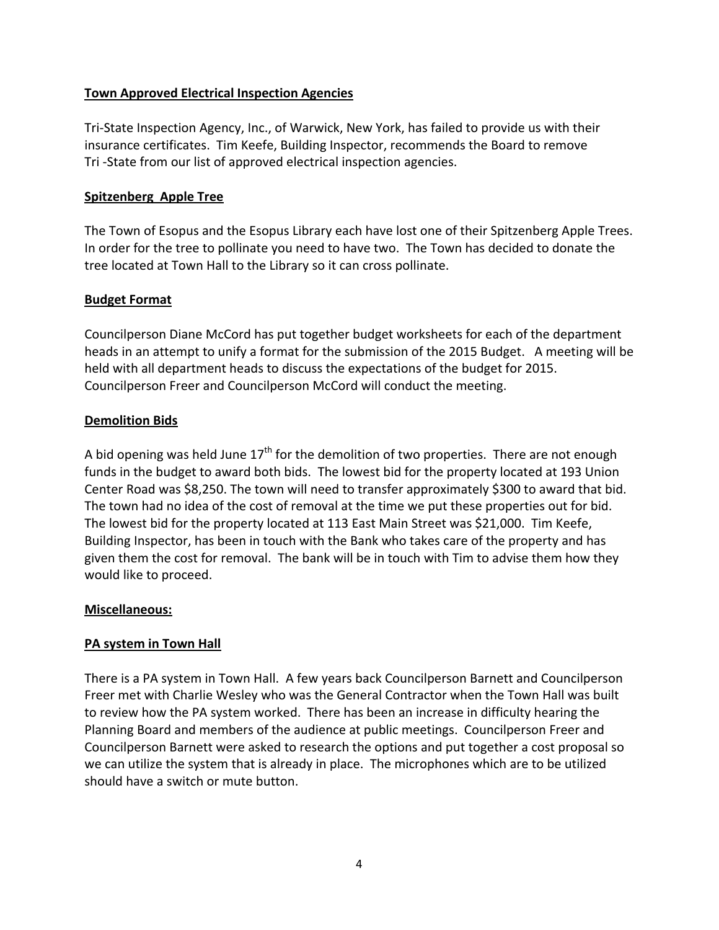## **Town Approved Electrical Inspection Agencies**

Tri‐State Inspection Agency, Inc., of Warwick, New York, has failed to provide us with their insurance certificates. Tim Keefe, Building Inspector, recommends the Board to remove Tri ‐State from our list of approved electrical inspection agencies.

### **Spitzenberg Apple Tree**

The Town of Esopus and the Esopus Library each have lost one of their Spitzenberg Apple Trees. In order for the tree to pollinate you need to have two. The Town has decided to donate the tree located at Town Hall to the Library so it can cross pollinate.

## **Budget Format**

Councilperson Diane McCord has put together budget worksheets for each of the department heads in an attempt to unify a format for the submission of the 2015 Budget. A meeting will be held with all department heads to discuss the expectations of the budget for 2015. Councilperson Freer and Councilperson McCord will conduct the meeting.

## **Demolition Bids**

A bid opening was held June  $17<sup>th</sup>$  for the demolition of two properties. There are not enough funds in the budget to award both bids. The lowest bid for the property located at 193 Union Center Road was \$8,250. The town will need to transfer approximately \$300 to award that bid. The town had no idea of the cost of removal at the time we put these properties out for bid. The lowest bid for the property located at 113 East Main Street was \$21,000. Tim Keefe, Building Inspector, has been in touch with the Bank who takes care of the property and has given them the cost for removal. The bank will be in touch with Tim to advise them how they would like to proceed.

#### **Miscellaneous:**

# **PA system in Town Hall**

There is a PA system in Town Hall. A few years back Councilperson Barnett and Councilperson Freer met with Charlie Wesley who was the General Contractor when the Town Hall was built to review how the PA system worked. There has been an increase in difficulty hearing the Planning Board and members of the audience at public meetings. Councilperson Freer and Councilperson Barnett were asked to research the options and put together a cost proposal so we can utilize the system that is already in place. The microphones which are to be utilized should have a switch or mute button.